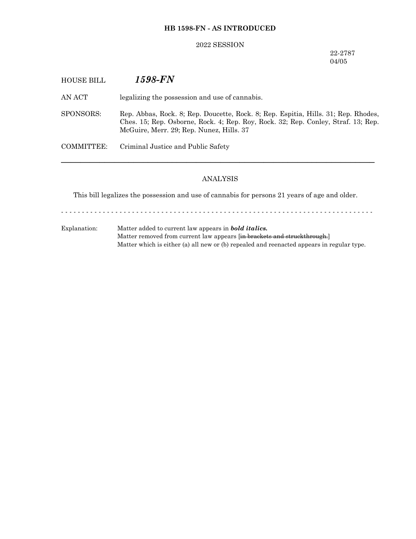# **HB 1598-FN - AS INTRODUCED**

### 2022 SESSION

22-2787 04/05

| <b>HOUSE BILL</b> | 1598-FN                                                                                                                                                                                                             |
|-------------------|---------------------------------------------------------------------------------------------------------------------------------------------------------------------------------------------------------------------|
| AN ACT            | legalizing the possession and use of cannabis.                                                                                                                                                                      |
| SPONSORS:         | Rep. Abbas, Rock. 8; Rep. Doucette, Rock. 8; Rep. Espitia, Hills. 31; Rep. Rhodes,<br>Ches. 15; Rep. Osborne, Rock. 4; Rep. Roy, Rock. 32; Rep. Conley, Straf. 13; Rep.<br>McGuire, Merr. 29; Rep. Nunez, Hills. 37 |
| COMMITTEE:        | Criminal Justice and Public Safety                                                                                                                                                                                  |
|                   |                                                                                                                                                                                                                     |

# ANALYSIS

This bill legalizes the possession and use of cannabis for persons 21 years of age and older.

- - - - - - - - - - - - - - - - - - - - - - - - - - - - - - - - - - - - - - - - - - - - - - - - - - - - - - - - - - - - - - - - - - - - - - - - - - -

Explanation: Matter added to current law appears in *bold italics.* Matter removed from current law appears [in brackets and struckthrough.] Matter which is either (a) all new or (b) repealed and reenacted appears in regular type.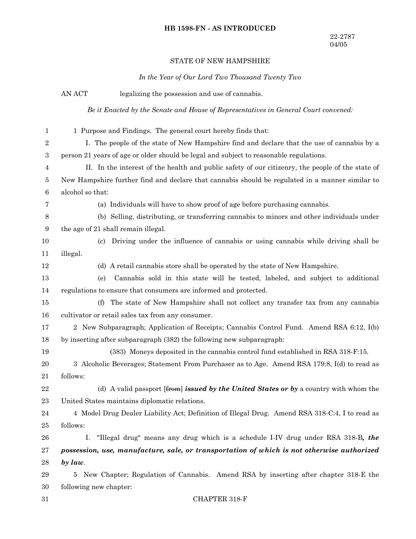## **HB 1598-FN - AS INTRODUCED**

### STATE OF NEW HAMPSHIRE

*In the Year of Our Lord Two Thousand Twenty Two*

AN ACT legalizing the possession and use of cannabis. *Be it Enacted by the Senate and House of Representatives in General Court convened:* 1 Purpose and Findings. The general court hereby finds that: I. The people of the state of New Hampshire find and declare that the use of cannabis by a person 21 years of age or older should be legal and subject to reasonable regulations. II. In the interest of the health and public safety of our citizenry, the people of the state of New Hampshire further find and declare that cannabis should be regulated in a manner similar to alcohol so that: (a) Individuals will have to show proof of age before purchasing cannabis. (b) Selling, distributing, or transferring cannabis to minors and other individuals under the age of 21 shall remain illegal. (c) Driving under the influence of cannabis or using cannabis while driving shall be illegal. (d) A retail cannabis store shall be operated by the state of New Hampshire. (e) Cannabis sold in this state will be tested, labeled, and subject to additional regulations to ensure that consumers are informed and protected. (f) The state of New Hampshire shall not collect any transfer tax from any cannabis cultivator or retail sales tax from any consumer. 2 New Subparagraph; Application of Receipts; Cannabis Control Fund. Amend RSA 6:12, I(b) by inserting after subparagraph (382) the following new subparagraph: (383) Moneys deposited in the cannabis control fund established in RSA 318-F:15. 3 Alcoholic Beverages; Statement From Purchaser as to Age. Amend RSA 179:8, I(d) to read as follows: (d) A valid passport [from] *issued by the United States or by* a country with whom the United States maintains diplomatic relations. 4 Model Drug Dealer Liability Act; Definition of Illegal Drug. Amend RSA 318-C:4, I to read as follows: I. "Illegal drug" means any drug which is a schedule I-IV drug under RSA 318-B*, the possession, use, manufacture, sale, or transportation of which is not otherwise authorized by law*. 5 New Chapter; Regulation of Cannabis. Amend RSA by inserting after chapter 318-E the following new chapter: CHAPTER 318-F 1 2 3 4 5 6 7 8 9 10 11 12 13 14 15 16 17 18 19 20 21 22 23 24 25 26 27 28 29 30 31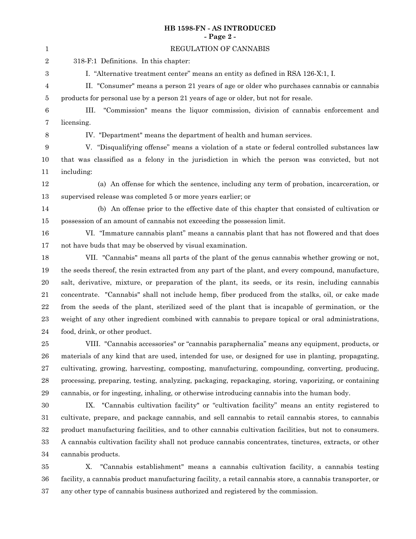# **HB 1598-FN - AS INTRODUCED - Page 2 -**

| $\mathbf{1}$     | REGULATION OF CANNABIS                                                                                 |
|------------------|--------------------------------------------------------------------------------------------------------|
| $\boldsymbol{2}$ | 318-F:1 Definitions. In this chapter:                                                                  |
| 3                | I. "Alternative treatment center" means an entity as defined in RSA 126-X:1, I.                        |
| 4                | II. "Consumer" means a person 21 years of age or older who purchases cannabis or cannabis              |
| $\bf 5$          | products for personal use by a person 21 years of age or older, but not for resale.                    |
| $\,6$            | "Commission" means the liquor commission, division of cannabis enforcement and<br>III.                 |
| 7                | licensing.                                                                                             |
| $8\,$            | IV. "Department" means the department of health and human services.                                    |
| 9                | V. "Disqualifying offense" means a violation of a state or federal controlled substances law           |
| 10               | that was classified as a felony in the jurisdiction in which the person was convicted, but not         |
| 11               | including:                                                                                             |
| 12               | (a) An offense for which the sentence, including any term of probation, incarceration, or              |
| 13               | supervised release was completed 5 or more years earlier; or                                           |
| 14               | (b) An offense prior to the effective date of this chapter that consisted of cultivation or            |
| 15               | possession of an amount of cannabis not exceeding the possession limit.                                |
| 16               | VI. "Immature cannabis plant" means a cannabis plant that has not flowered and that does               |
| 17               | not have buds that may be observed by visual examination.                                              |
| 18               | VII. "Cannabis" means all parts of the plant of the genus cannabis whether growing or not,             |
| 19               | the seeds thereof, the resin extracted from any part of the plant, and every compound, manufacture,    |
| $20\,$           | salt, derivative, mixture, or preparation of the plant, its seeds, or its resin, including cannabis    |
| 21               | concentrate. "Cannabis" shall not include hemp, fiber produced from the stalks, oil, or cake made      |
| $22\,$           | from the seeds of the plant, sterilized seed of the plant that is incapable of germination, or the     |
| $\bf 23$         | weight of any other ingredient combined with cannabis to prepare topical or oral administrations,      |
| $\bf{24}$        | food, drink, or other product.                                                                         |
| $25\,$           | VIII. "Cannabis accessories" or "cannabis paraphernalia" means any equipment, products, or             |
| ${\bf 26}$       | materials of any kind that are used, intended for use, or designed for use in planting, propagating,   |
| $\sqrt{27}$      | cultivating, growing, harvesting, composting, manufacturing, compounding, converting, producing,       |
| $\bf 28$         | processing, preparing, testing, analyzing, packaging, repackaging, storing, vaporizing, or containing  |
| $\bf 29$         | cannabis, or for ingesting, inhaling, or otherwise introducing cannabis into the human body.           |
| 30               | IX. "Cannabis cultivation facility" or "cultivation facility" means an entity registered to            |
| 31               | cultivate, prepare, and package cannabis, and sell cannabis to retail cannabis stores, to cannabis     |
| $32\,$           | product manufacturing facilities, and to other cannabis cultivation facilities, but not to consumers.  |
| $33\,$           | A cannabis cultivation facility shall not produce cannabis concentrates, tinctures, extracts, or other |
| 34               | cannabis products.                                                                                     |

X. "Cannabis establishment" means a cannabis cultivation facility, a cannabis testing facility, a cannabis product manufacturing facility, a retail cannabis store, a cannabis transporter, or any other type of cannabis business authorized and registered by the commission. 35 36 37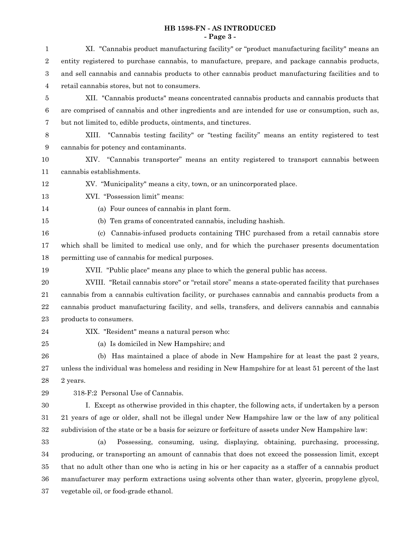## **HB 1598-FN - AS INTRODUCED - Page 3 -**

| $\mathbf{1}$   | XI. "Cannabis product manufacturing facility" or "product manufacturing facility" means an           |
|----------------|------------------------------------------------------------------------------------------------------|
| $\overline{2}$ | entity registered to purchase cannabis, to manufacture, prepare, and package cannabis products,      |
| 3              | and sell cannabis and cannabis products to other cannabis product manufacturing facilities and to    |
| 4              | retail cannabis stores, but not to consumers.                                                        |
| 5              | XII. "Cannabis products" means concentrated cannabis products and cannabis products that             |
| $\,6$          | are comprised of cannabis and other ingredients and are intended for use or consumption, such as,    |
| 7              | but not limited to, edible products, ointments, and tinctures.                                       |
| 8              | "Cannabis testing facility" or "testing facility" means an entity registered to test<br>XIII.        |
| 9              | cannabis for potency and contaminants.                                                               |
| 10             | XIV. "Cannabis transporter" means an entity registered to transport cannabis between                 |
| 11             | cannabis establishments.                                                                             |
| 12             | XV. "Municipality" means a city, town, or an unincorporated place.                                   |
| 13             | XVI. "Possession limit" means:                                                                       |
| 14             | (a) Four ounces of cannabis in plant form.                                                           |
| 15             | (b) Ten grams of concentrated cannabis, including hashish.                                           |
| 16             | (c) Cannabis-infused products containing THC purchased from a retail cannabis store                  |
| 17             | which shall be limited to medical use only, and for which the purchaser presents documentation       |
| 18             | permitting use of cannabis for medical purposes.                                                     |
| 19             | XVII. "Public place" means any place to which the general public has access.                         |
| 20             | XVIII. "Retail cannabis store" or "retail store" means a state-operated facility that purchases      |
| 21             | cannabis from a cannabis cultivation facility, or purchases cannabis and cannabis products from a    |
| 22             | cannabis product manufacturing facility, and sells, transfers, and delivers cannabis and cannabis    |
| 23             | products to consumers.                                                                               |
| 24             | XIX. "Resident" means a natural person who:                                                          |
| 25             | (a) Is domiciled in New Hampshire; and                                                               |
| 26             | (b) Has maintained a place of abode in New Hampshire for at least the past 2 years,                  |
| 27             | unless the individual was homeless and residing in New Hampshire for at least 51 percent of the last |
| 28             | 2 years.                                                                                             |
| $\,29$         | 318-F:2 Personal Use of Cannabis.                                                                    |
| 30             | I. Except as otherwise provided in this chapter, the following acts, if undertaken by a person       |
| 31             | 21 years of age or older, shall not be illegal under New Hampshire law or the law of any political   |
| $32\,$         | subdivision of the state or be a basis for seizure or forfeiture of assets under New Hampshire law:  |
| $33\,$         | Possessing, consuming, using, displaying, obtaining, purchasing, processing,<br>(a)                  |
| 34             | producing, or transporting an amount of cannabis that does not exceed the possession limit, except   |
| $35\,$         | that no adult other than one who is acting in his or her capacity as a staffer of a cannabis product |
| 36             | manufacturer may perform extractions using solvents other than water, glycerin, propylene glycol,    |

vegetable oil, or food-grade ethanol. 37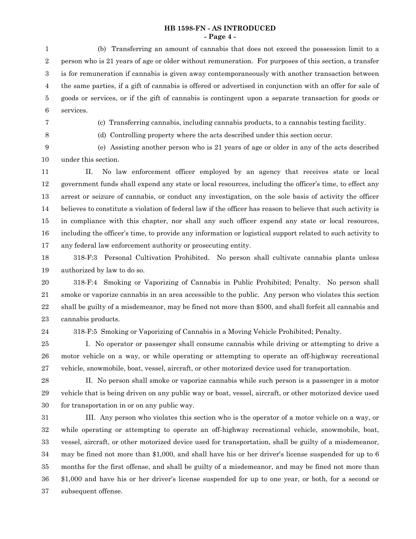### **HB 1598-FN - AS INTRODUCED - Page 4 -**

(b) Transferring an amount of cannabis that does not exceed the possession limit to a person who is 21 years of age or older without remuneration. For purposes of this section, a transfer is for remuneration if cannabis is given away contemporaneously with another transaction between the same parties, if a gift of cannabis is offered or advertised in conjunction with an offer for sale of goods or services, or if the gift of cannabis is contingent upon a separate transaction for goods or services. 1 2 3 4 5 6

- 7
- 8

(c) Transferring cannabis, including cannabis products, to a cannabis testing facility.

(d) Controlling property where the acts described under this section occur.

(e) Assisting another person who is 21 years of age or older in any of the acts described under this section. 9 10

II. No law enforcement officer employed by an agency that receives state or local government funds shall expend any state or local resources, including the officer's time, to effect any arrest or seizure of cannabis, or conduct any investigation, on the sole basis of activity the officer believes to constitute a violation of federal law if the officer has reason to believe that such activity is in compliance with this chapter, nor shall any such officer expend any state or local resources, including the officer's time, to provide any information or logistical support related to such activity to any federal law enforcement authority or prosecuting entity. 11 12 13 14 15 16 17

318-F:3 Personal Cultivation Prohibited. No person shall cultivate cannabis plants unless authorized by law to do so. 18 19

318-F:4 Smoking or Vaporizing of Cannabis in Public Prohibited; Penalty. No person shall smoke or vaporize cannabis in an area accessible to the public. Any person who violates this section shall be guilty of a misdemeanor, may be fined not more than \$500, and shall forfeit all cannabis and cannabis products. 20 21 22 23

24

318-F:5 Smoking or Vaporizing of Cannabis in a Moving Vehicle Prohibited; Penalty.

I. No operator or passenger shall consume cannabis while driving or attempting to drive a motor vehicle on a way, or while operating or attempting to operate an off-highway recreational vehicle, snowmobile, boat, vessel, aircraft, or other motorized device used for transportation. 25 26 27

28

II. No person shall smoke or vaporize cannabis while such person is a passenger in a motor vehicle that is being driven on any public way or boat, vessel, aircraft, or other motorized device used for transportation in or on any public way. 29 30

III. Any person who violates this section who is the operator of a motor vehicle on a way, or while operating or attempting to operate an off-highway recreational vehicle, snowmobile, boat, vessel, aircraft, or other motorized device used for transportation, shall be guilty of a misdemeanor, may be fined not more than \$1,000, and shall have his or her driver's license suspended for up to 6 months for the first offense, and shall be guilty of a misdemeanor, and may be fined not more than \$1,000 and have his or her driver's license suspended for up to one year, or both, for a second or subsequent offense. 31 32 33 34 35 36 37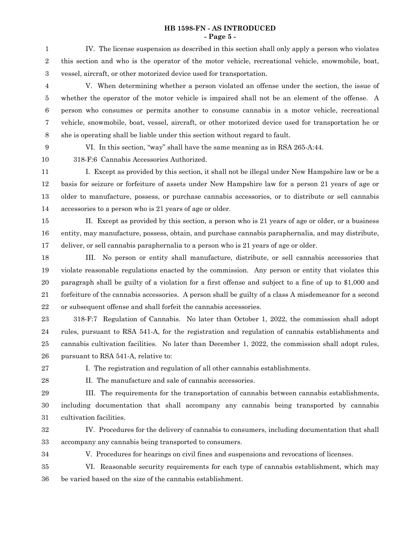### **HB 1598-FN - AS INTRODUCED - Page 5 -**

IV. The license suspension as described in this section shall only apply a person who violates this section and who is the operator of the motor vehicle, recreational vehicle, snowmobile, boat, vessel, aircraft, or other motorized device used for transportation. 1 2 3

V. When determining whether a person violated an offense under the section, the issue of whether the operator of the motor vehicle is impaired shall not be an element of the offense. A person who consumes or permits another to consume cannabis in a motor vehicle, recreational vehicle, snowmobile, boat, vessel, aircraft, or other motorized device used for transportation he or she is operating shall be liable under this section without regard to fault. 4 5 6 7 8

9 10 VI. In this section, "way" shall have the same meaning as in RSA 265-A:44.

318-F:6 Cannabis Accessories Authorized.

I. Except as provided by this section, it shall not be illegal under New Hampshire law or be a basis for seizure or forfeiture of assets under New Hampshire law for a person 21 years of age or older to manufacture, possess, or purchase cannabis accessories, or to distribute or sell cannabis accessories to a person who is 21 years of age or older. 11 12 13 14

II. Except as provided by this section, a person who is 21 years of age or older, or a business entity, may manufacture, possess, obtain, and purchase cannabis paraphernalia, and may distribute, deliver, or sell cannabis paraphernalia to a person who is 21 years of age or older. 15 16 17

III. No person or entity shall manufacture, distribute, or sell cannabis accessories that violate reasonable regulations enacted by the commission. Any person or entity that violates this paragraph shall be guilty of a violation for a first offense and subject to a fine of up to \$1,000 and forfeiture of the cannabis accessories. A person shall be guilty of a class A misdemeanor for a second or subsequent offense and shall forfeit the cannabis accessories. 18 19 20 21 22

318-F:7 Regulation of Cannabis. No later than October 1, 2022, the commission shall adopt rules, pursuant to RSA 541-A, for the registration and regulation of cannabis establishments and cannabis cultivation facilities. No later than December 1, 2022, the commission shall adopt rules, pursuant to RSA 541-A, relative to: 23 24 25 26

27

I. The registration and regulation of all other cannabis establishments.

28

II. The manufacture and sale of cannabis accessories.

III. The requirements for the transportation of cannabis between cannabis establishments, 29

including documentation that shall accompany any cannabis being transported by cannabis cultivation facilities. 30 31

- IV. Procedures for the delivery of cannabis to consumers, including documentation that shall accompany any cannabis being transported to consumers. 32 33
- 34

V. Procedures for hearings on civil fines and suspensions and revocations of licenses.

VI. Reasonable security requirements for each type of cannabis establishment, which may be varied based on the size of the cannabis establishment. 35 36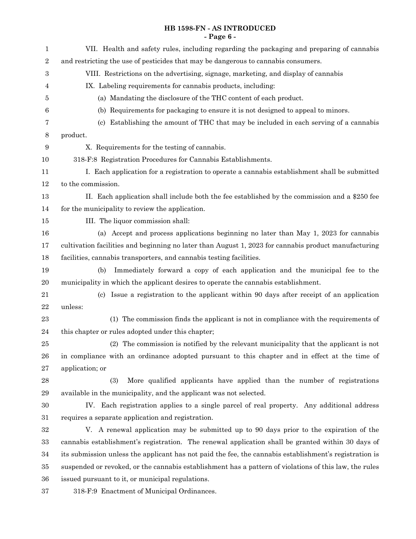# **HB 1598-FN - AS INTRODUCED - Page 6 -**

| $\mathbf{1}$ | VII. Health and safety rules, including regarding the packaging and preparing of cannabis              |
|--------------|--------------------------------------------------------------------------------------------------------|
| $\sqrt{2}$   | and restricting the use of pesticides that may be dangerous to cannabis consumers.                     |
| 3            | VIII. Restrictions on the advertising, signage, marketing, and display of cannabis                     |
| 4            | IX. Labeling requirements for cannabis products, including:                                            |
| 5            | (a) Mandating the disclosure of the THC content of each product.                                       |
| 6            | (b) Requirements for packaging to ensure it is not designed to appeal to minors.                       |
| 7            | Establishing the amount of THC that may be included in each serving of a cannabis<br>(c)               |
| 8            | product.                                                                                               |
| 9            | X. Requirements for the testing of cannabis.                                                           |
| 10           | 318-F:8 Registration Procedures for Cannabis Establishments.                                           |
| 11           | I. Each application for a registration to operate a cannabis establishment shall be submitted          |
| 12           | to the commission.                                                                                     |
| 13           | II. Each application shall include both the fee established by the commission and a \$250 fee          |
| 14           | for the municipality to review the application.                                                        |
| 15           | III. The liquor commission shall:                                                                      |
| 16           | (a) Accept and process applications beginning no later than May 1, 2023 for cannabis                   |
| 17           | cultivation facilities and beginning no later than August 1, 2023 for cannabis product manufacturing   |
| 18           | facilities, cannabis transporters, and cannabis testing facilities.                                    |
| 19           | Immediately forward a copy of each application and the municipal fee to the<br>(b)                     |
| 20           | municipality in which the applicant desires to operate the cannabis establishment.                     |
| 21           | (c) Issue a registration to the applicant within 90 days after receipt of an application               |
| 22           | unless:                                                                                                |
| 23           | (1) The commission finds the applicant is not in compliance with the requirements of                   |
| 24           | this chapter or rules adopted under this chapter;                                                      |
| 25           | (2) The commission is notified by the relevant municipality that the applicant is not                  |
| 26           | in compliance with an ordinance adopted pursuant to this chapter and in effect at the time of          |
| $\sqrt{27}$  | application; or                                                                                        |
| 28           | (3)<br>More qualified applicants have applied than the number of registrations                         |
| 29           | available in the municipality, and the applicant was not selected.                                     |
| 30           | IV. Each registration applies to a single parcel of real property. Any additional address              |
| 31           | requires a separate application and registration.                                                      |
| $32\,$       | V. A renewal application may be submitted up to 90 days prior to the expiration of the                 |
| $33\,$       | cannabis establishment's registration. The renewal application shall be granted within 30 days of      |
| 34           | its submission unless the applicant has not paid the fee, the cannabis establishment's registration is |
| 35           | suspended or revoked, or the cannabis establishment has a pattern of violations of this law, the rules |
| 36           | issued pursuant to it, or municipal regulations.                                                       |
| $37\,$       | 318-F:9 Enactment of Municipal Ordinances.                                                             |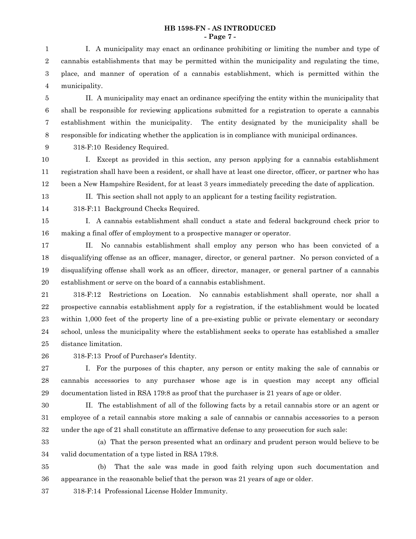### **HB 1598-FN - AS INTRODUCED - Page 7 -**

I. A municipality may enact an ordinance prohibiting or limiting the number and type of cannabis establishments that may be permitted within the municipality and regulating the time, place, and manner of operation of a cannabis establishment, which is permitted within the municipality. 1 2 3 4

II. A municipality may enact an ordinance specifying the entity within the municipality that shall be responsible for reviewing applications submitted for a registration to operate a cannabis establishment within the municipality. The entity designated by the municipality shall be responsible for indicating whether the application is in compliance with municipal ordinances. 5 6 7 8

9

318-F:10 Residency Required.

I. Except as provided in this section, any person applying for a cannabis establishment registration shall have been a resident, or shall have at least one director, officer, or partner who has been a New Hampshire Resident, for at least 3 years immediately preceding the date of application. 10 11 12

13 14 II. This section shall not apply to an applicant for a testing facility registration.

318-F:11 Background Checks Required.

I. A cannabis establishment shall conduct a state and federal background check prior to making a final offer of employment to a prospective manager or operator. 15 16

II. No cannabis establishment shall employ any person who has been convicted of a disqualifying offense as an officer, manager, director, or general partner. No person convicted of a disqualifying offense shall work as an officer, director, manager, or general partner of a cannabis establishment or serve on the board of a cannabis establishment. 17 18 19 20

318-F:12 Restrictions on Location. No cannabis establishment shall operate, nor shall a prospective cannabis establishment apply for a registration, if the establishment would be located within 1,000 feet of the property line of a pre-existing public or private elementary or secondary school, unless the municipality where the establishment seeks to operate has established a smaller distance limitation. 21 22 23 24 25

26

318-F:13 Proof of Purchaser's Identity.

I. For the purposes of this chapter, any person or entity making the sale of cannabis or cannabis accessories to any purchaser whose age is in question may accept any official documentation listed in RSA 179:8 as proof that the purchaser is 21 years of age or older. 27 28 29

30 31

II. The establishment of all of the following facts by a retail cannabis store or an agent or employee of a retail cannabis store making a sale of cannabis or cannabis accessories to a person under the age of 21 shall constitute an affirmative defense to any prosecution for such sale:

33

32

(a) That the person presented what an ordinary and prudent person would believe to be valid documentation of a type listed in RSA 179:8. 34

(b) That the sale was made in good faith relying upon such documentation and appearance in the reasonable belief that the person was 21 years of age or older. 35 36

318-F:14 Professional License Holder Immunity. 37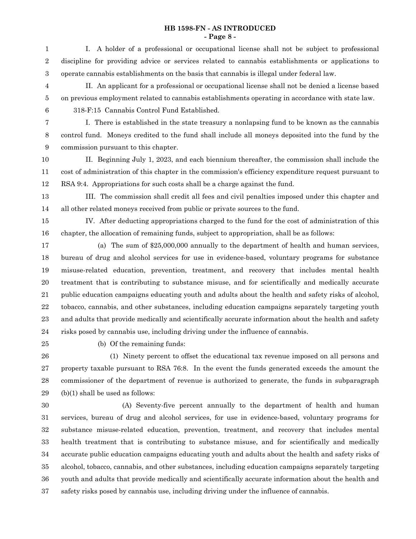# **HB 1598-FN - AS INTRODUCED - Page 8 -**

| 1                | I. A holder of a professional or occupational license shall not be subject to professional            |
|------------------|-------------------------------------------------------------------------------------------------------|
| $\,2$            | discipline for providing advice or services related to cannabis establishments or applications to     |
| $\,3$            | operate cannabis establishments on the basis that cannabis is illegal under federal law.              |
| $\overline{4}$   | II. An applicant for a professional or occupational license shall not be denied a license based       |
| $\bf 5$          | on previous employment related to cannabis establishments operating in accordance with state law.     |
| $\,6\,$          | 318-F:15 Cannabis Control Fund Established.                                                           |
| 7                | I. There is established in the state treasury a nonlapsing fund to be known as the cannabis           |
| $\,8\,$          | control fund. Moneys credited to the fund shall include all moneys deposited into the fund by the     |
| $\boldsymbol{9}$ | commission pursuant to this chapter.                                                                  |
| 10               | II. Beginning July 1, 2023, and each biennium thereafter, the commission shall include the            |
| 11               | cost of administration of this chapter in the commission's efficiency expenditure request pursuant to |
| 12               | RSA 9:4. Appropriations for such costs shall be a charge against the fund.                            |
| 13               | III. The commission shall credit all fees and civil penalties imposed under this chapter and          |
| 14               | all other related moneys received from public or private sources to the fund.                         |
| 15               | IV. After deducting appropriations charged to the fund for the cost of administration of this         |
| 16               | chapter, the allocation of remaining funds, subject to appropriation, shall be as follows:            |
| 17               | (a) The sum of \$25,000,000 annually to the department of health and human services,                  |
| 18               | bureau of drug and alcohol services for use in evidence-based, voluntary programs for substance       |
| 19               | misuse-related education, prevention, treatment, and recovery that includes mental health             |
| 20               | treatment that is contributing to substance misuse, and for scientifically and medically accurate     |
| 21               | public education campaigns educating youth and adults about the health and safety risks of alcohol,   |
| $22\,$           | tobacco, cannabis, and other substances, including education campaigns separately targeting youth     |
| 23               | and adults that provide medically and scientifically accurate information about the health and safety |
| 24               | risks posed by cannabis use, including driving under the influence of cannabis.                       |
| 25               | (b) Of the remaining funds:                                                                           |
| 26               | (1) Ninety percent to offset the educational tax revenue imposed on all persons and                   |
| $\sqrt{27}$      | property taxable pursuant to RSA 76:8. In the event the funds generated exceeds the amount the        |
| 28               | commissioner of the department of revenue is authorized to generate, the funds in subparagraph        |
| 29               | $(b)(1)$ shall be used as follows:                                                                    |
| $30\,$           | (A) Seventy-five percent annually to the department of health and human                               |
| 31               | services, bureau of drug and alcohol services, for use in evidence-based, voluntary programs for      |
| 32               | substance misuse-related education, prevention, treatment, and recovery that includes mental          |
| 33               | health treatment that is contributing to substance misuse, and for scientifically and medically       |
| 34               | accurate public education campaigns educating youth and adults about the health and safety risks of   |
| 35               | alcohol, tobacco, cannabis, and other substances, including education campaigns separately targeting  |
| 36               | youth and adults that provide medically and scientifically accurate information about the health and  |
| 37               | safety risks posed by cannabis use, including driving under the influence of cannabis.                |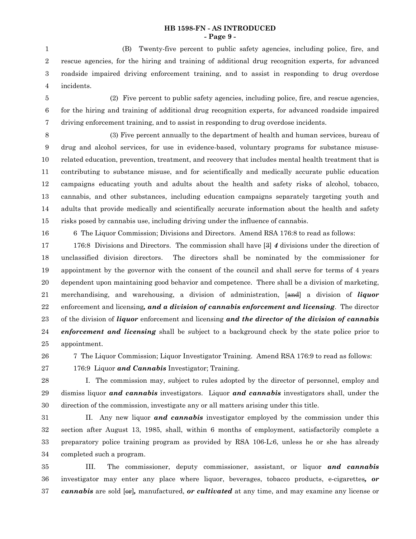### **HB 1598-FN - AS INTRODUCED - Page 9 -**

(B) Twenty-five percent to public safety agencies, including police, fire, and rescue agencies, for the hiring and training of additional drug recognition experts, for advanced roadside impaired driving enforcement training, and to assist in responding to drug overdose incidents. 1 2 3 4

- (2) Five percent to public safety agencies, including police, fire, and rescue agencies, for the hiring and training of additional drug recognition experts, for advanced roadside impaired driving enforcement training, and to assist in responding to drug overdose incidents. 5 6 7
- 

(3) Five percent annually to the department of health and human services, bureau of drug and alcohol services, for use in evidence-based, voluntary programs for substance misuserelated education, prevention, treatment, and recovery that includes mental health treatment that is contributing to substance misuse, and for scientifically and medically accurate public education campaigns educating youth and adults about the health and safety risks of alcohol, tobacco, cannabis, and other substances, including education campaigns separately targeting youth and adults that provide medically and scientifically accurate information about the health and safety risks posed by cannabis use, including driving under the influence of cannabis. 8 9 10 11 12 13 14 15

16

6 The Liquor Commission; Divisions and Directors. Amend RSA 176:8 to read as follows:

176:8 Divisions and Directors. The commission shall have [3] *4* divisions under the direction of unclassified division directors. The directors shall be nominated by the commissioner for appointment by the governor with the consent of the council and shall serve for terms of 4 years dependent upon maintaining good behavior and competence. There shall be a division of marketing, merchandising, and warehousing, a division of administration, [and] a division of *liquor* enforcement and licensing*, and a division of cannabis enforcement and licensing*. The director of the division of *liquor* enforcement and licensing *and the director of the division of cannabis enforcement and licensing* shall be subject to a background check by the state police prior to appointment. 17 18 19 20 21 22 23 24 25

26 27

7 The Liquor Commission; Liquor Investigator Training. Amend RSA 176:9 to read as follows:

176:9 Liquor *and Cannabis* Investigator; Training.

I. The commission may, subject to rules adopted by the director of personnel, employ and dismiss liquor *and cannabis* investigators. Liquor *and cannabis* investigators shall, under the direction of the commission, investigate any or all matters arising under this title. 28 29 30

II. Any new liquor *and cannabis* investigator employed by the commission under this section after August 13, 1985, shall, within 6 months of employment, satisfactorily complete a preparatory police training program as provided by RSA 106-L:6, unless he or she has already completed such a program. 31 32 33 34

III. The commissioner, deputy commissioner, assistant, or liquor *and cannabis* investigator may enter any place where liquor, beverages, tobacco products, e-cigarettes*, or cannabis* are sold [or]*,* manufactured, *or cultivated* at any time, and may examine any license or 35 36 37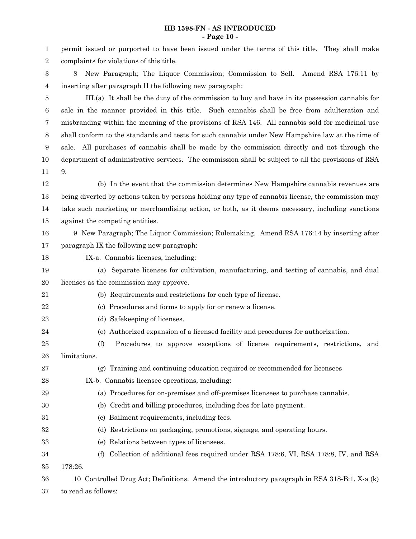## **HB 1598-FN - AS INTRODUCED - Page 10 -**

| 1              | permit issued or purported to have been issued under the terms of this title. They shall make       |
|----------------|-----------------------------------------------------------------------------------------------------|
| $\overline{2}$ | complaints for violations of this title.                                                            |
| 3              | New Paragraph; The Liquor Commission; Commission to Sell. Amend RSA 176:11 by<br>8                  |
| 4              | inserting after paragraph II the following new paragraph:                                           |
| 5              | III.(a) It shall be the duty of the commission to buy and have in its possession cannabis for       |
| 6              | sale in the manner provided in this title. Such cannabis shall be free from adulteration and        |
| 7              | misbranding within the meaning of the provisions of RSA 146. All cannabis sold for medicinal use    |
| 8              | shall conform to the standards and tests for such cannabis under New Hampshire law at the time of   |
| 9              | sale. All purchases of cannabis shall be made by the commission directly and not through the        |
| 10             | department of administrative services. The commission shall be subject to all the provisions of RSA |
| 11             | 9.                                                                                                  |
| 12             | (b) In the event that the commission determines New Hampshire cannabis revenues are                 |
| 13             | being diverted by actions taken by persons holding any type of cannabis license, the commission may |
| 14             | take such marketing or merchandising action, or both, as it deems necessary, including sanctions    |
| 15             | against the competing entities.                                                                     |
| 16             | 9 New Paragraph; The Liquor Commission; Rulemaking. Amend RSA 176:14 by inserting after             |
| 17             | paragraph IX the following new paragraph:                                                           |
| 18             | IX-a. Cannabis licenses, including:                                                                 |
| 19             | (a) Separate licenses for cultivation, manufacturing, and testing of cannabis, and dual             |
| 20             | licenses as the commission may approve.                                                             |
| 21             | (b) Requirements and restrictions for each type of license.                                         |
| 22             | (c) Procedures and forms to apply for or renew a license.                                           |
| 23             | (d) Safekeeping of licenses.                                                                        |
| 24             | Authorized expansion of a licensed facility and procedures for authorization.<br>(e)                |
| 25             | Procedures to approve exceptions of license requirements, restrictions, and<br>(f)                  |
| 26             | limitations.                                                                                        |
| 27             | (g) Training and continuing education required or recommended for licensees                         |
| 28             | IX-b. Cannabis licensee operations, including:                                                      |
| 29             | (a) Procedures for on-premises and off-premises licensees to purchase cannabis.                     |
| 30             | (b) Credit and billing procedures, including fees for late payment.                                 |
| 31             | Bailment requirements, including fees.<br>(c)                                                       |
| 32             | Restrictions on packaging, promotions, signage, and operating hours.<br>(d)                         |
| 33             | (e) Relations between types of licensees.                                                           |
| 34             | Collection of additional fees required under RSA 178:6, VI, RSA 178:8, IV, and RSA<br>(f)           |
| 35             | 178:26.                                                                                             |
| 36             | 10 Controlled Drug Act; Definitions. Amend the introductory paragraph in RSA 318-B:1, X-a (k)       |
| 37             | to read as follows:                                                                                 |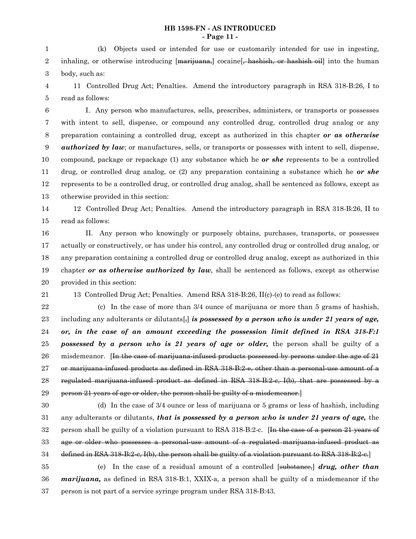## **HB 1598-FN - AS INTRODUCED - Page 11 -**

(k) Objects used or intended for use or customarily intended for use in ingesting, inhaling, or otherwise introducing [marijuana,] cocaine<sup>[</sup>, hashish, or hashish oil] into the human body, such as: 1 2 3

11 Controlled Drug Act; Penalties. Amend the introductory paragraph in RSA 318-B:26, I to read as follows: 4 5

I. Any person who manufactures, sells, prescribes, administers, or transports or possesses with intent to sell, dispense, or compound any controlled drug, controlled drug analog or any preparation containing a controlled drug, except as authorized in this chapter *or as otherwise authorized by law*; or manufactures, sells, or transports or possesses with intent to sell, dispense, compound, package or repackage (1) any substance which he *or she* represents to be a controlled drug, or controlled drug analog, or (2) any preparation containing a substance which he *or she* represents to be a controlled drug, or controlled drug analog, shall be sentenced as follows, except as otherwise provided in this section: 6 7 8 9 10 11 12 13

12 Controlled Drug Act; Penalties. Amend the introductory paragraph in RSA 318-B:26, II to read as follows: 14 15

II. Any person who knowingly or purposely obtains, purchases, transports, or possesses actually or constructively, or has under his control, any controlled drug or controlled drug analog, or any preparation containing a controlled drug or controlled drug analog, except as authorized in this chapter *or as otherwise authorized by law*, shall be sentenced as follows, except as otherwise provided in this section: 16 17 18 19 20

21

13 Controlled Drug Act; Penalties. Amend RSA 318-B:26, II(c)-(e) to read as follows:

(c) In the case of more than 3/4 ounce of marijuana or more than 5 grams of hashish, including any adulterants or dilutants[,] *is possessed by a person who is under 21 years of age, or, in the case of an amount exceeding the possession limit defined in RSA 318-F:1 possessed by a person who is 21 years of age or older,* the person shall be guilty of a misdemeanor. [In the case of marijuana-infused products possessed by persons under the age of 21 or marijuana-infused products as defined in RSA 318-B:2-e, other than a personal-use amount of a regulated marijuana-infused product as defined in RSA 318-B:2-c, I(b), that are possessed by a person 21 years of age or older, the person shall be guilty of a misdemeanor.] 22 23 24 25 26 27 28 29

30

(d) In the case of 3/4 ounce or less of marijuana or 5 grams or less of hashish, including any adulterants or dilutants, *that is possessed by a person who is under 21 years of age,* the person shall be guilty of a violation pursuant to RSA 318-B:2-c. [In the case of a person 21 years of age or older who possesses a personal-use amount of a regulated marijuana-infused product as defined in RSA 318-B:2-c, I(b), the person shall be guilty of a violation pursuant to RSA 318-B:2-c.] 31 32 33 34

(e) In the case of a residual amount of a controlled [substance,] *drug, other than marijuana,* as defined in RSA 318-B:1, XXIX-a, a person shall be guilty of a misdemeanor if the person is not part of a service syringe program under RSA 318-B:43. 35 36 37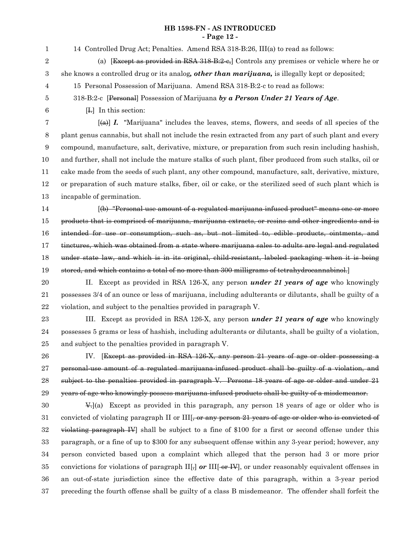# **HB 1598-FN - AS INTRODUCED - Page 12 -**

| $\mathbf{1}$     | 14 Controlled Drug Act; Penalties. Amend RSA 318-B:26, III(a) to read as follows:                         |
|------------------|-----------------------------------------------------------------------------------------------------------|
| $\boldsymbol{2}$ | (a) [Except as provided in RSA 318-B:2-e,] Controls any premises or vehicle where he or                   |
| 3                | she knows a controlled drug or its analog, other than marijuana, is illegally kept or deposited;          |
| 4                | 15 Personal Possession of Marijuana. Amend RSA 318-B:2-c to read as follows:                              |
| 5                | 318-B:2-c [Personal] Possession of Marijuana by a Person Under 21 Years of Age.                           |
| $\,6$            | [I,] In this section:                                                                                     |
| 7                | $\overline{A}$ (a) I. "Marijuana" includes the leaves, stems, flowers, and seeds of all species of the    |
| 8                | plant genus cannabis, but shall not include the resin extracted from any part of such plant and every     |
| 9                | compound, manufacture, salt, derivative, mixture, or preparation from such resin including hashish,       |
| 10               | and further, shall not include the mature stalks of such plant, fiber produced from such stalks, oil or   |
| 11               | cake made from the seeds of such plant, any other compound, manufacture, salt, derivative, mixture,       |
| 12               | or preparation of such mature stalks, fiber, oil or cake, or the sterilized seed of such plant which is   |
| 13               | incapable of germination.                                                                                 |
| 14               | (b) "Personal-use amount of a regulated marijuana-infused product" means one or more                      |
| 15               | products that is comprised of marijuana, marijuana extracts, or resins and other ingredients and is       |
| 16               | intended for use or consumption, such as, but not limited to, edible products, ointments, and             |
| 17               | tinctures, which was obtained from a state where marijuana sales to adults are legal and regulated        |
| 18               | under state law, and which is in its original, child resistant, labeled packaging when it is being        |
| 19               | stored, and which contains a total of no more than 300 milligrams of tetrahydrocannabinol.                |
| $20\,$           | II. Except as provided in RSA 126-X, any person <i>under 21 years of age</i> who knowingly                |
| 21               | possesses 3/4 of an ounce or less of marijuana, including adulterants or dilutants, shall be guilty of a  |
| 22               | violation, and subject to the penalties provided in paragraph V.                                          |
| 23               | III. Except as provided in RSA 126-X, any person <i>under 21 years of age</i> who knowingly               |
| 24               | possesses 5 grams or less of hashish, including adulterants or dilutants, shall be guilty of a violation, |
| 25               | and subject to the penalties provided in paragraph V.                                                     |
| 26               | IV. [Except as provided in RSA 126-X, any person 21 years of age or older possessing a                    |
| 27               | personal-use amount of a regulated marijuana-infused product shall be guilty of a violation, and          |
| 28               | subject to the penalties provided in paragraph V. Persons 18 years of age or older and under 21           |
| 29               | years of age who knowingly possess marijuana-infused products shall be guilty of a misdemeanor.           |
| 30               | $\Psi$ -(a) Except as provided in this paragraph, any person 18 years of age or older who is              |
| 31               | convicted of violating paragraph II or III, or any person 21 years of age or older who is convicted of    |
| 32               | violating paragraph IV shall be subject to a fine of \$100 for a first or second offense under this       |
| 33               | paragraph, or a fine of up to \$300 for any subsequent offense within any 3-year period; however, any     |

person convicted based upon a complaint which alleged that the person had 3 or more prior convictions for violations of paragraph II[<sub>7</sub>] *or* III[-or-IV], or under reasonably equivalent offenses in an out-of-state jurisdiction since the effective date of this paragraph, within a 3-year period preceding the fourth offense shall be guilty of a class B misdemeanor. The offender shall forfeit the 34 35 36 37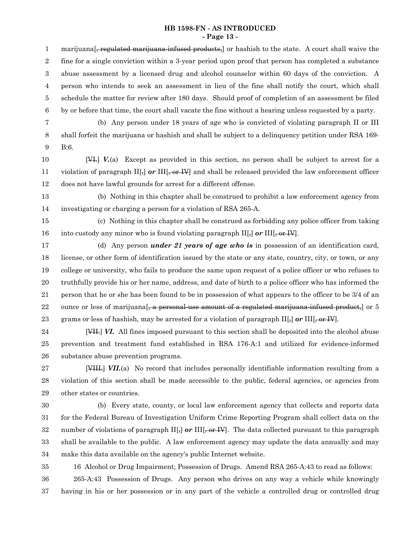### **HB 1598-FN - AS INTRODUCED - Page 13 -**

marijuana <del>, regulated marijuana infused products,</del> or hashish to the state. A court shall waive the fine for a single conviction within a 3-year period upon proof that person has completed a substance abuse assessment by a licensed drug and alcohol counselor within 60 days of the conviction. A person who intends to seek an assessment in lieu of the fine shall notify the court, which shall schedule the matter for review after 180 days. Should proof of completion of an assessment be filed by or before that time, the court shall vacate the fine without a hearing unless requested by a party. (b) Any person under 18 years of age who is convicted of violating paragraph II or III shall forfeit the marijuana or hashish and shall be subject to a delinquency petition under RSA 169- B:6. [VI.] *V.*(a) Except as provided in this section, no person shall be subject to arrest for a violation of paragraph  $\text{II}[\cdot]$  or  $\text{III}[\cdot]$  or  $\text{III}[\cdot]$  and shall be released provided the law enforcement officer does not have lawful grounds for arrest for a different offense. (b) Nothing in this chapter shall be construed to prohibit a law enforcement agency from investigating or charging a person for a violation of RSA 265-A. (c) Nothing in this chapter shall be construed as forbidding any police officer from taking into custody any minor who is found violating paragraph  $\text{II}[\cdot]$  or  $\text{III}[\cdot]$  or  $\text{III}[\cdot]$ (d) Any person *under 21 years of age who is* in possession of an identification card, license, or other form of identification issued by the state or any state, country, city, or town, or any college or university, who fails to produce the same upon request of a police officer or who refuses to truthfully provide his or her name, address, and date of birth to a police officer who has informed the person that he or she has been found to be in possession of what appears to the officer to be 3/4 of an ounce or less of marijuana<sup>[, a</sup> personal-use amount of a regulated marijuana-infused product, or 5 grams or less of hashish, may be arrested for a violation of paragraph II[,] *or* III[, or IV]. [VII.] *VI.* All fines imposed pursuant to this section shall be deposited into the alcohol abuse prevention and treatment fund established in RSA 176-A:1 and utilized for evidence-informed substance abuse prevention programs. [VIII.] *VII.*(a) No record that includes personally identifiable information resulting from a 1 2 3 4 5 6 7 8 9 10 11 12 13 14 15 16 17 18 19 20 21 22 23 24 25 26 27

violation of this section shall be made accessible to the public, federal agencies, or agencies from other states or countries. 28 29

(b) Every state, county, or local law enforcement agency that collects and reports data for the Federal Bureau of Investigation Uniform Crime Reporting Program shall collect data on the number of violations of paragraph II[<sub>5</sub>] or III[<sub>5</sub> or IV]. The data collected pursuant to this paragraph shall be available to the public. A law enforcement agency may update the data annually and may make this data available on the agency's public Internet website. 30 31 32 33 34

16 Alcohol or Drug Impairment; Possession of Drugs. Amend RSA 265-A:43 to read as follows: 35

265-A:43 Possession of Drugs. Any person who drives on any way a vehicle while knowingly having in his or her possession or in any part of the vehicle a controlled drug or controlled drug 36 37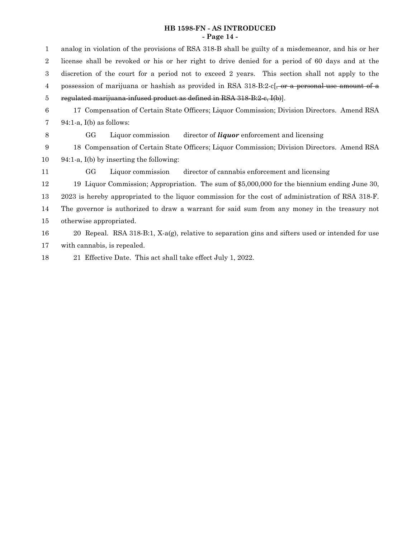## **HB 1598-FN - AS INTRODUCED - Page 14 -**

analog in violation of the provisions of RSA 318-B shall be guilty of a misdemeanor, and his or her license shall be revoked or his or her right to drive denied for a period of 60 days and at the discretion of the court for a period not to exceed 2 years. This section shall not apply to the possession of marijuana or hashish as provided in RSA 318-B:2-c[, or a personal-use amount of a regulated marijuana-infused product as defined in RSA 318-B:2-c, I(b)]. Compensation of Certain State Officers; Liquor Commission; Division Directors. Amend RSA 94:1-a, I(b) as follows: GG Liquor commission director of *liquor* enforcement and licensing Compensation of Certain State Officers; Liquor Commission; Division Directors. Amend RSA 94:1-a, I(b) by inserting the following: GG Liquor commission director of cannabis enforcement and licensing Liquor Commission; Appropriation. The sum of \$5,000,000 for the biennium ending June 30, is hereby appropriated to the liquor commission for the cost of administration of RSA 318-F. The governor is authorized to draw a warrant for said sum from any money in the treasury not otherwise appropriated. Repeal. RSA 318-B:1, X-a(g), relative to separation gins and sifters used or intended for use 

with cannabis, is repealed. 

 Effective Date. This act shall take effect July 1, 2022.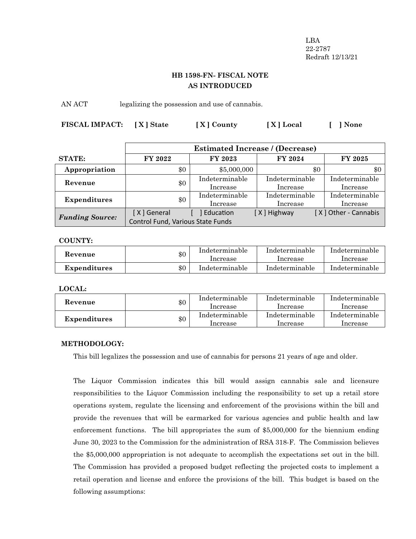LBA 22-2787 Redraft 12/13/21

# **HB 1598-FN- FISCAL NOTE AS INTRODUCED**

AN ACT legalizing the possession and use of cannabis.

| FISCAL IMPACT: [X] State | [X] County | [X] Local | [ ] None |
|--------------------------|------------|-----------|----------|
|                          |            |           |          |

|                        |                                                  | <b>Estimated Increase / (Decrease)</b> |                            |                            |  |
|------------------------|--------------------------------------------------|----------------------------------------|----------------------------|----------------------------|--|
| <b>STATE:</b>          | <b>FY 2022</b>                                   | <b>FY 2023</b>                         | <b>FY 2024</b>             | <b>FY 2025</b>             |  |
| Appropriation          | \$0                                              | \$5,000,000                            | \$0                        | \$0                        |  |
| Revenue                | \$0                                              | Indeterminable<br>Increase             | Indeterminable<br>Increase | Indeterminable<br>Increase |  |
| <b>Expenditures</b>    | \$0                                              | Indeterminable<br>Increase             | Indeterminable<br>Increase | Indeterminable<br>Increase |  |
| <b>Funding Source:</b> | [X] General<br>Control Fund, Various State Funds | Education                              | [X] Highway                | [X] Other - Cannabis       |  |

**COUNTY:**

| <b>Revenue</b> | \$0 | Indeterminable<br>Increase | Indeterminable<br>Increase | Indeterminable<br>Increase |
|----------------|-----|----------------------------|----------------------------|----------------------------|
| Expenditures   | \$0 | Indeterminable             | Indeterminable             | Indeterminable             |

**LOCAL:**

| Revenue      | \$0 | Indeterminable<br>Increase | Indeterminable<br>Increase | Indeterminable<br>Increase |
|--------------|-----|----------------------------|----------------------------|----------------------------|
| Expenditures | \$0 | Indeterminable<br>Increase | Indeterminable<br>Increase | Indeterminable<br>Increase |

# **METHODOLOGY:**

This bill legalizes the possession and use of cannabis for persons 21 years of age and older.

The Liquor Commission indicates this bill would assign cannabis sale and licensure responsibilities to the Liquor Commission including the responsibility to set up a retail store operations system, regulate the licensing and enforcement of the provisions within the bill and provide the revenues that will be earmarked for various agencies and public health and law enforcement functions. The bill appropriates the sum of \$5,000,000 for the biennium ending June 30, 2023 to the Commission for the administration of RSA 318-F. The Commission believes the \$5,000,000 appropriation is not adequate to accomplish the expectations set out in the bill. The Commission has provided a proposed budget reflecting the projected costs to implement a retail operation and license and enforce the provisions of the bill. This budget is based on the following assumptions: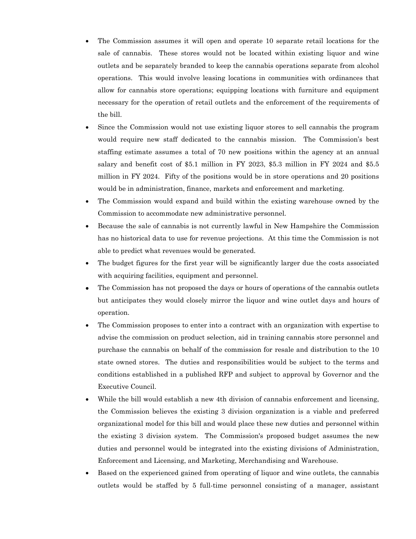- The Commission assumes it will open and operate 10 separate retail locations for the sale of cannabis. These stores would not be located within existing liquor and wine outlets and be separately branded to keep the cannabis operations separate from alcohol operations. This would involve leasing locations in communities with ordinances that allow for cannabis store operations; equipping locations with furniture and equipment necessary for the operation of retail outlets and the enforcement of the requirements of the bill.
- Since the Commission would not use existing liquor stores to sell cannabis the program would require new staff dedicated to the cannabis mission. The Commission's best staffing estimate assumes a total of 70 new positions within the agency at an annual salary and benefit cost of \$5.1 million in FY 2023, \$5.3 million in FY 2024 and \$5.5 million in FY 2024. Fifty of the positions would be in store operations and 20 positions would be in administration, finance, markets and enforcement and marketing.
- The Commission would expand and build within the existing warehouse owned by the Commission to accommodate new administrative personnel.
- · Because the sale of cannabis is not currently lawful in New Hampshire the Commission has no historical data to use for revenue projections. At this time the Commission is not able to predict what revenues would be generated.
- The budget figures for the first year will be significantly larger due the costs associated with acquiring facilities, equipment and personnel.
- **·** The Commission has not proposed the days or hours of operations of the cannabis outlets but anticipates they would closely mirror the liquor and wine outlet days and hours of operation.
- The Commission proposes to enter into a contract with an organization with expertise to advise the commission on product selection, aid in training cannabis store personnel and purchase the cannabis on behalf of the commission for resale and distribution to the 10 state owned stores. The duties and responsibilities would be subject to the terms and conditions established in a published RFP and subject to approval by Governor and the Executive Council.
- · While the bill would establish a new 4th division of cannabis enforcement and licensing, the Commission believes the existing 3 division organization is a viable and preferred organizational model for this bill and would place these new duties and personnel within the existing 3 division system. The Commission's proposed budget assumes the new duties and personnel would be integrated into the existing divisions of Administration, Enforcement and Licensing, and Marketing, Merchandising and Warehouse.
- Based on the experienced gained from operating of liquor and wine outlets, the cannabis outlets would be staffed by 5 full-time personnel consisting of a manager, assistant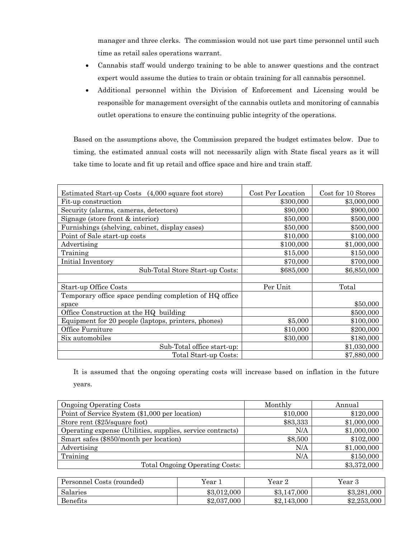manager and three clerks. The commission would not use part time personnel until such time as retail sales operations warrant.

- · Cannabis staff would undergo training to be able to answer questions and the contract expert would assume the duties to train or obtain training for all cannabis personnel.
- · Additional personnel within the Division of Enforcement and Licensing would be responsible for management oversight of the cannabis outlets and monitoring of cannabis outlet operations to ensure the continuing public integrity of the operations.

Based on the assumptions above, the Commission prepared the budget estimates below. Due to timing, the estimated annual costs will not necessarily align with State fiscal years as it will take time to locate and fit up retail and office space and hire and train staff.

| Estimated Start-up Costs (4,000 square foot store)     | Cost Per Location | Cost for 10 Stores |
|--------------------------------------------------------|-------------------|--------------------|
| Fit-up construction                                    | \$300,000         | \$3,000,000        |
| Security (alarms, cameras, detectors)                  | \$90,000          | \$900,000          |
| Signage (store front $&$ interior)                     | \$50,000          | \$500,000          |
| Furnishings (shelving, cabinet, display cases)         | \$50,000          | \$500,000          |
| Point of Sale start-up costs                           | \$10,000          | \$100,000          |
| Advertising                                            | \$100,000         | \$1,000,000        |
| Training                                               | \$15,000          | \$150,000          |
| Initial Inventory                                      | \$70,000          | \$700,000          |
| Sub-Total Store Start-up Costs:                        | \$685,000         | \$6,850,000        |
|                                                        |                   |                    |
| Start-up Office Costs                                  | Per Unit          | Total              |
| Temporary office space pending completion of HQ office |                   |                    |
| space                                                  |                   | \$50,000           |
| Office Construction at the HQ building                 |                   | \$500,000          |
| Equipment for 20 people (laptops, printers, phones)    | \$5,000           | \$100,000          |
| Office Furniture                                       | \$10,000          | \$200,000          |
| Six automobiles                                        | \$30,000          | \$180,000          |
| Sub-Total office start-up:                             |                   | \$1,030,000        |
| Total Start-up Costs:                                  |                   | \$7,880,000        |

It is assumed that the ongoing operating costs will increase based on inflation in the future years.

| <b>Ongoing Operating Costs</b>                             | Monthly  | Annual      |
|------------------------------------------------------------|----------|-------------|
| Point of Service System (\$1,000 per location)             | \$10,000 | \$120,000   |
| Store rent (\$25/square foot)                              | \$83,333 | \$1,000,000 |
| Operating expense (Utilities, supplies, service contracts) | N/A      | \$1,000,000 |
| Smart safes (\$850/month per location)                     | \$8,500  | \$102,000   |
| Advertising                                                | N/A      | \$1,000,000 |
| Training                                                   | N/A      | \$150,000   |
| Total Ongoing Operating Costs:                             |          | \$3,372,000 |

| Personnel Costs (rounded) | Year        | Year 2      | Year 3      |
|---------------------------|-------------|-------------|-------------|
| Salaries                  | \$3,012,000 | \$3,147,000 | \$3,281,000 |
| Benefits                  | \$2,037,000 | \$2,143,000 | \$2,253,000 |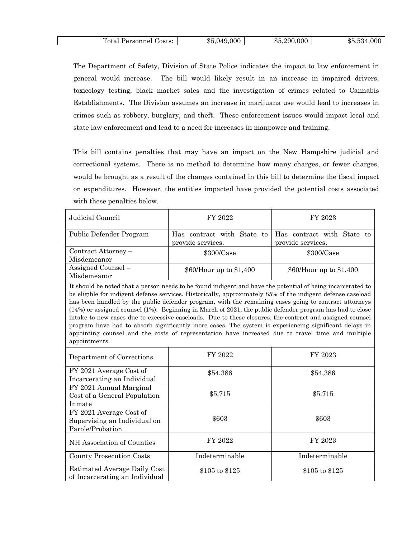| m<br>.<br>osts<br>vю<br>nne.<br>.<br>____ | 000<br>ጡ '<br>ሕ∂<br>٠. | .000<br>290<br>-85. | $\sim$ $\sim$<br>ונה<br>. UUU<br>.De J.<br>. |
|-------------------------------------------|------------------------|---------------------|----------------------------------------------|
|                                           |                        |                     |                                              |

The Department of Safety, Division of State Police indicates the impact to law enforcement in general would increase. The bill would likely result in an increase in impaired drivers, toxicology testing, black market sales and the investigation of crimes related to Cannabis Establishments. The Division assumes an increase in marijuana use would lead to increases in crimes such as robbery, burglary, and theft. These enforcement issues would impact local and state law enforcement and lead to a need for increases in manpower and training.

This bill contains penalties that may have an impact on the New Hampshire judicial and correctional systems. There is no method to determine how many charges, or fewer charges, would be brought as a result of the changes contained in this bill to determine the fiscal impact on expenditures. However, the entities impacted have provided the potential costs associated with these penalties below.

| Judicial Council                                                                                                                                                                                                                                                                                                                                                                                                                                                                                                                                                                                                                                                                                                                                                                                | FY 2022                                            | FY 2023                                         |  |  |
|-------------------------------------------------------------------------------------------------------------------------------------------------------------------------------------------------------------------------------------------------------------------------------------------------------------------------------------------------------------------------------------------------------------------------------------------------------------------------------------------------------------------------------------------------------------------------------------------------------------------------------------------------------------------------------------------------------------------------------------------------------------------------------------------------|----------------------------------------------------|-------------------------------------------------|--|--|
| Public Defender Program                                                                                                                                                                                                                                                                                                                                                                                                                                                                                                                                                                                                                                                                                                                                                                         | Has contract with State to<br>provide services.    | Has contract with State to<br>provide services. |  |  |
| Contract Attorney -<br>Misdemeanor                                                                                                                                                                                                                                                                                                                                                                                                                                                                                                                                                                                                                                                                                                                                                              | \$300/Case                                         | \$300/Case                                      |  |  |
| Assigned Counsel -<br>Misdemeanor                                                                                                                                                                                                                                                                                                                                                                                                                                                                                                                                                                                                                                                                                                                                                               | \$60/Hour up to \$1,400<br>\$60/Hour up to \$1,400 |                                                 |  |  |
| It should be noted that a person needs to be found indigent and have the potential of being incarcerated to<br>be eligible for indigent defense services. Historically, approximately 85% of the indigent defense caseload<br>has been handled by the public defender program, with the remaining cases going to contract attorneys<br>$(14%)$ or assigned counsel $(1%)$ . Beginning in March of 2021, the public defender program has had to close<br>intake to new cases due to excessive caseloads. Due to these closures, the contract and assigned counsel<br>program have had to absorb significantly more cases. The system is experiencing significant delays in<br>appointing counsel and the costs of representation have increased due to travel time and multiple<br>appointments. |                                                    |                                                 |  |  |
| Department of Corrections                                                                                                                                                                                                                                                                                                                                                                                                                                                                                                                                                                                                                                                                                                                                                                       | FY 2022                                            | FY 2023                                         |  |  |
| FY 2021 Average Cost of<br>Incarcerating an Individual                                                                                                                                                                                                                                                                                                                                                                                                                                                                                                                                                                                                                                                                                                                                          | \$54,386                                           | \$54,386                                        |  |  |
| FY 2021 Annual Marginal<br>Cost of a General Population<br>Inmate                                                                                                                                                                                                                                                                                                                                                                                                                                                                                                                                                                                                                                                                                                                               | \$5,715                                            | \$5,715                                         |  |  |
| FY 2021 Average Cost of<br>Supervising an Individual on<br>Parole/Probation                                                                                                                                                                                                                                                                                                                                                                                                                                                                                                                                                                                                                                                                                                                     | \$603                                              | \$603                                           |  |  |
| NH Association of Counties                                                                                                                                                                                                                                                                                                                                                                                                                                                                                                                                                                                                                                                                                                                                                                      | FY 2022                                            | FY 2023                                         |  |  |
| <b>County Prosecution Costs</b>                                                                                                                                                                                                                                                                                                                                                                                                                                                                                                                                                                                                                                                                                                                                                                 | Indeterminable                                     | Indeterminable                                  |  |  |
| <b>Estimated Average Daily Cost</b><br>of Incarcerating an Individual                                                                                                                                                                                                                                                                                                                                                                                                                                                                                                                                                                                                                                                                                                                           | \$105 to \$125                                     | \$105 to \$125                                  |  |  |